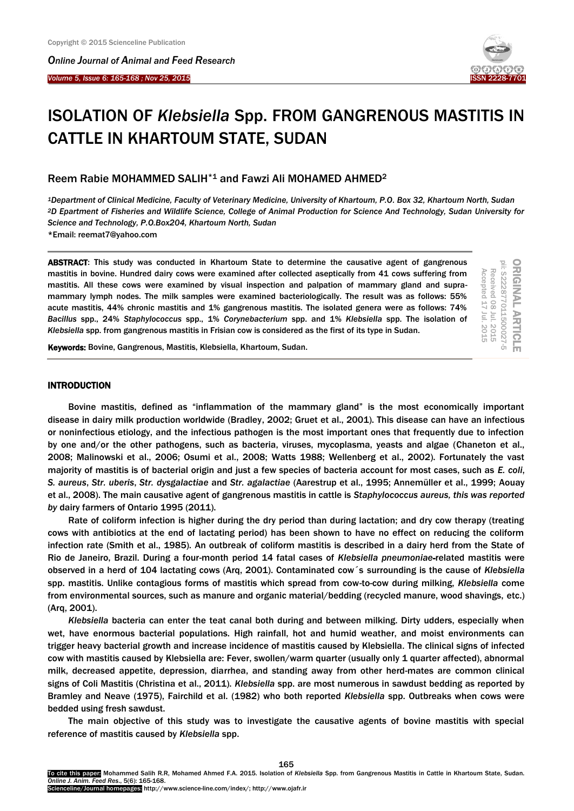I

*Online Journal of A[nimal and](http://www.ojafr.ir/main/) Feed Research Volume 5, Issue 6: 165-168 ; Nov 25, 2015* 



ORIGINAL ARTICLE<br>pii: S222877011500027-5

Received 08

Received 08 Jul. 2015 Accepted 17 Jul. 2015

Accepted 17

Jul. 2015

Jul. 2015

# ISOLATION OF *Klebsiella* Spp. FROM GANGRENOUS MASTITIS IN CATTLE IN KHARTOUM STATE, SUDAN

Reem Rabie MOHAMMED SALIH\*1 and Fawzi Ali MOHAMED AHMED<sup>2</sup>

*<sup>1</sup>Department of Clinical Medicine, Faculty of Veterinary Medicine, University of Khartoum, P.O. Box 32, Khartoum North, Sudan <sup>2</sup>D Epartment of Fisheries and Wildlife Science, College of Animal Production for Science And Technology, Sudan University for Science and Technology, P.O.Box204, Khartoum North, Sudan* \*Email: reemat7@yahoo.com

ABSTRACT: This study was conducted in Khartoum State to determine the causative agent of gangrenous mastitis in bovine. Hundred dairy cows were examined after collected aseptically from 41 cows suffering from mastitis. All these cows were examined by visual inspection and palpation of mammary gland and supramammary lymph nodes. The milk samples were examined bacteriologically. The result was as follows: 55% acute mastitis, 44% chronic mastitis and 1% gangrenous mastitis. The isolated genera were as follows: 74% *Bacillus* spp., 24% *Staphylococcus* spp., 1% *Corynebacterium* spp. and 1% *Klebsiella* spp. The isolation of *Klebsiella* spp. from gangrenous mastitis in Frisian cow is considered as the first of its type in Sudan.

Keywords: Bovine, Gangrenous, Mastitis, Klebsiella, Khartoum, Sudan.

## **INTRODUCTION**

Bovine mastitis, defined as "inflammation of the mammary gland" is the most economically important disease in dairy milk production worldwide (Bradley, 2002; Gruet et al., 2001). This disease can have an infectious or noninfectious etiology, and the infectious pathogen is the most important ones that frequently due to infection by one and/or the other pathogens, such as bacteria, viruses, mycoplasma, yeasts and algae (Chaneton et al., 2008; Malinowski et al., 2006; Osumi et al., 2008; Watts 1988; Wellenberg et al., 2002). Fortunately the vast majority of mastitis is of bacterial origin and just a few species of bacteria account for most cases, such as *E. coli*, *S. aureus*, *Str. uberis*, *Str. dysgalactiae* and *Str. agalactiae* (Aarestrup et al., 1995; Annemüller et al., 1999; Aouay et al., 2008). The main causative agent of gangrenous mastitis in cattle is *Staphylococcus aureus, this was reported by* dairy farmers of Ontario 1995 (2011).

Rate of coliform infection is higher during the dry period than during lactation; and dry cow therapy (treating cows with antibiotics at the end of lactating period) has been shown to have no effect on reducing the coliform infection rate (Smith et al., 1985). An outbreak of coliform mastitis is described in a dairy herd from the State of Rio de Janeiro, Brazil. During a four-month period 14 fatal cases of *Klebsiella pneumoniae*-related mastitis were observed in a herd of 104 lactating cows (Arq, 2001). Contaminated cow´s surrounding is the cause of *Klebsiella* spp. mastitis. Unlike contagious forms of mastitis which spread from cow-to-cow during milking, *Klebsiella* come from environmental sources, such as manure and organic material/bedding (recycled manure, wood shavings, etc.) (Arq, 2001).

*Klebsiella* bacteria can enter the teat canal both during and between milking. Dirty udders, especially when wet, have enormous bacterial populations. High rainfall, hot and humid weather, and moist environments can trigger heavy bacterial growth and increase incidence of mastitis caused by Klebsiella*.* The clinical signsof infected cow with mastitis caused by Klebsiella are:Fever, swollen/warm quarter (usually only 1 quarter affected), abnormal milk, decreased appetite, depression, diarrhea, and standing away from other herd-mates are common clinical signs of Coli Mastitis (Christina et al., 2011). *Klebsiella* spp. are most numerous in sawdust bedding as reported by Bramley and Neave (1975), Fairchild et al. (1982) who both reported *Klebsiella* spp. Outbreaks when cows were bedded using fresh sawdust.

The main objective of this study was to investigate the causative agents of bovine mastitis with special reference of mastitis caused by *Klebsiella* spp.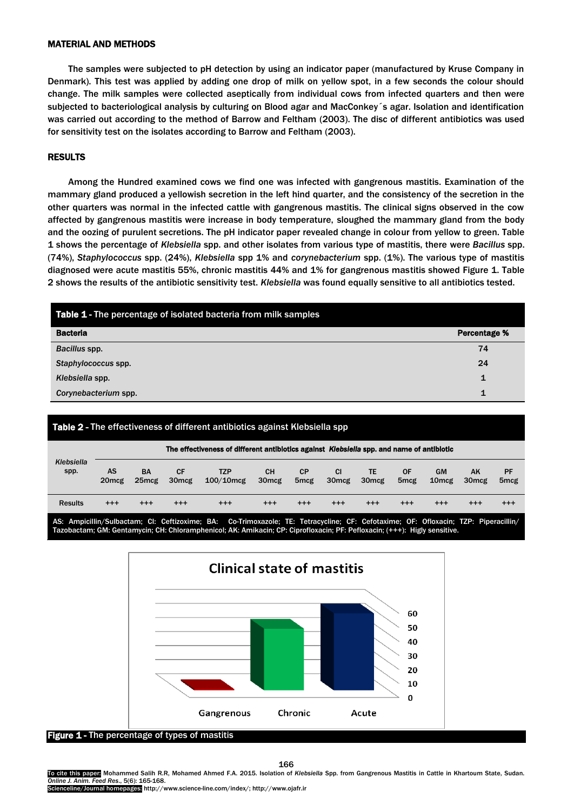## MATERIAL AND METHODS

The samples were subjected to pH detection by using an indicator paper (manufactured by Kruse Company in Denmark). This test was applied by adding one drop of milk on yellow spot, in a few seconds the colour should change. The milk samples were collected aseptically from individual cows from infected quarters and then were subjected to bacteriological analysis by culturing on Blood agar and MacConkey´s agar. Isolation and identification was carried out according to the method of Barrow and Feltham (2003). The disc of different antibiotics was used for sensitivity test on the isolates according to Barrow and Feltham (2003).

## RESULTS

Among the Hundred examined cows we find one was infected with gangrenous mastitis. Examination of the mammary gland produced a yellowish secretion in the left hind quarter, and the consistency of the secretion in the other quarters was normal in the infected cattle with gangrenous mastitis. The clinical signs observed in the cow affected by gangrenous mastitis were increase in body temperature, sloughed the mammary gland from the body and the oozing of purulent secretions. The pH indicator paper revealed change in colour from yellow to green. Table 1 shows the percentage of *Klebsiella* spp. and other isolates from various type of mastitis, there were *Bacillus* spp. (74%), *Staphylococcus* spp. (24%), *Klebsiella* spp 1% and *corynebacterium* spp. (1%). The various type of mastitis diagnosed were acute mastitis 55%, chronic mastitis 44% and 1% for gangrenous mastitis showed Figure 1. Table 2 shows the results of the antibiotic sensitivity test. *Klebsiella* was found equally sensitive to all antibiotics tested.

| Table 1 - The percentage of isolated bacteria from milk samples |                     |  |  |  |  |  |  |  |  |
|-----------------------------------------------------------------|---------------------|--|--|--|--|--|--|--|--|
| <b>Bacteria</b>                                                 | <b>Percentage %</b> |  |  |  |  |  |  |  |  |
| Bacillus spp.                                                   | 74                  |  |  |  |  |  |  |  |  |
| Staphylococcus spp.                                             | 24                  |  |  |  |  |  |  |  |  |
| Klebsiella spp.                                                 | 1                   |  |  |  |  |  |  |  |  |
| Corynebacterium spp.                                            | 1                   |  |  |  |  |  |  |  |  |

## Table 2 - The effectiveness of different antibiotics against Klebsiella spp

| Klebsiella<br>spp. | The effectiveness of different antibiotics against Klebsiella spp. and name of antibiotic |                                |                         |                            |                                |                               |                                |                                |                        |                                 |                         |                        |
|--------------------|-------------------------------------------------------------------------------------------|--------------------------------|-------------------------|----------------------------|--------------------------------|-------------------------------|--------------------------------|--------------------------------|------------------------|---------------------------------|-------------------------|------------------------|
|                    | AS<br>20 <sub>mcg</sub>                                                                   | <b>BA</b><br>25 <sub>mcg</sub> | СF<br>30 <sub>mcg</sub> | <b>TZP</b><br>$100/10$ mcg | <b>CH</b><br>30 <sub>mcg</sub> | <b>CP</b><br>5 <sub>mcg</sub> | <b>CI</b><br>30 <sub>mcg</sub> | <b>TE</b><br>30 <sub>mcg</sub> | ΟF<br>5 <sub>mcg</sub> | <b>GM</b><br>10 <sub>mc</sub> g | AK<br>30 <sub>mcg</sub> | PF<br>5 <sub>mcg</sub> |
| <b>Results</b>     | $^{+++}$                                                                                  | $^{++}$                        | $^{++}$                 | $^{+++}$                   | $^{++}$                        | $^{++}$                       | $^{++}$                        | $^{+++}$                       | $^{+++}$               | $^{++}$                         | $^{+++}$                | $^{+++}$               |

AS: Ampicillin/Sulbactam; CI: Ceftizoxime; BA: Co-Trimoxazole; TE: Tetracycline; CF: Cefotaxime; OF: Ofloxacin; TZP: Piperacillin/ Tazobactam; GM: Gentamycin; CH: Chloramphenicol; AK: Amikacin; CP: Ciprofloxacin; PF: Pefloxacin; (+++): Higly sensitive.



Figure 1 - The percentage of types of mastitis

166

To cite this paper: Mohammed Salih R.R, Mohamed Ahmed F.A. 2015. Isolation of *Klebsiella* Spp. from Gangrenous Mastitis in Cattle in Khartoum State, Sudan. *Online J. Anim. Feed Res*., 5(6): 165-168.

Scienceline/Journal homepages: http://www.science-line.com/index/; http://www.ojafr.ir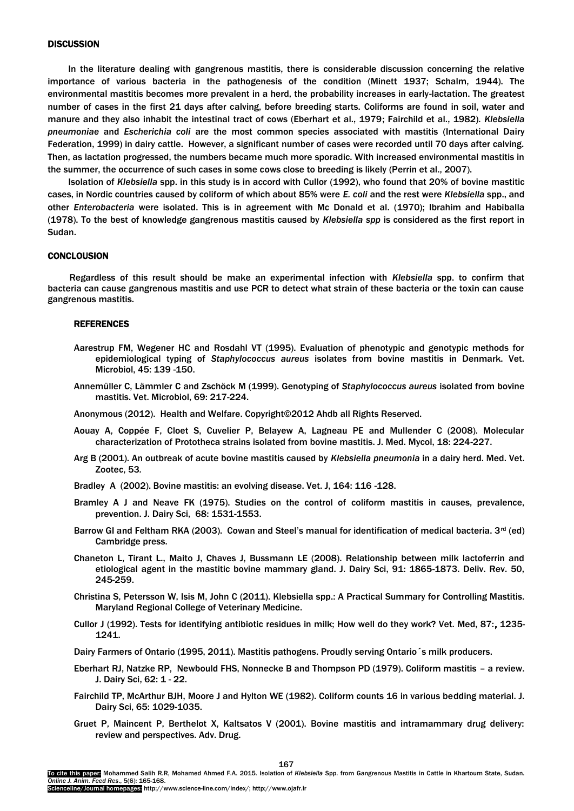## **DISCUSSION**

In the literature dealing with gangrenous mastitis, there is considerable discussion concerning the relative importance of various bacteria in the pathogenesis of the condition (Minett 1937; Schalm, 1944). The environmental mastitis becomes more prevalent in a herd, the probability increases in early-lactation. The greatest number of cases in the first 21 days after calving, before breeding starts. Coliforms are found in soil, water and manure and they also inhabit the intestinal tract of cows (Eberhart et al., 1979; Fairchild et al., 1982)*. Klebsiella pneumoniae* and *Escherichia coli* are the most common species associated with mastitis (International Dairy Federation, 1999) in dairy cattle. However, a significant number of cases were recorded until 70 days after calving. Then, as lactation progressed, the numbers became much more sporadic. With increased environmental mastitis in the summer, the occurrence of such cases in some cows close to breeding is likely (Perrin et al., 2007).

Isolation of *Klebsiella* spp. in this study is in accord with Cullor (1992), who found that 20% of bovine mastitic cases, in Nordic countries caused by coliform of which about 85% were *E. coli* and the rest were *Klebsiella* spp., and other *Enterobacteria* were isolated. This is in agreement with Mc Donald et al. (1970); Ibrahim and Habiballa (1978). To the best of knowledge gangrenous mastitis caused by *Klebsiella spp* is considered as the first report in Sudan.

## **CONCLOUSION**

Regardless of this result should be make an experimental infection with *Klebsiella* spp. to confirm that bacteria can cause gangrenous mastitis and use PCR to detect what strain of these bacteria or the toxin can cause gangrenous mastitis.

#### REFERENCES

- Aarestrup FM, Wegener HC and Rosdahl VT (1995). Evaluation of phenotypic and genotypic methods for epidemiological typing of *Staphylococcus aureus* isolates from bovine mastitis in Denmark. Vet. Microbiol, 45: 139 -150.
- Annemüller C, Lämmler C and Zschöck M (1999). Genotyping of *Staphylococcus aureus* isolated from bovine mastitis. Vet. Microbiol, 69: 217-224.
- Anonymous (2012). Health and Welfare. Copyright©2012 Ahdb all Rights Reserved.
- Aouay A, Coppée F, Cloet S, Cuvelier P, Belayew A, Lagneau PE and Mullender C (2008). Molecular characterization of Prototheca strains isolated from bovine mastitis. J. Med. Mycol, 18: 224-227.
- Arg B (2001). An outbreak of acute bovine mastitis caused by *Klebsiella pneumonia* in a dairy herd. Med. Vet. Zootec, 53*.*
- Bradley A (2002). Bovine mastitis: an evolving disease. Vet. J, 164: 116 -128.
- Bramley A J and Neave FK (1975). Studies on the control of coliform mastitis in causes, prevalence, prevention. J. Dairy Sci, 68: 1531-1553.
- Barrow GI and Feltham RKA (2003). Cowan and Steel's manual for identification of medical bacteria.  $3^{rd}$  (ed) Cambridge press.
- Chaneton L, Tirant L., Maito J, Chaves J, Bussmann LE (2008). Relationship between milk lactoferrin and etiological agent in the mastitic bovine mammary gland. J. Dairy Sci, 91: 1865-1873. Deliv. Rev. 50, 245-259.
- Christina S, Petersson W, Isis M, John C (2011). Klebsiella spp.: A Practical Summary for Controlling Mastitis. Maryland Regional College of Veterinary Medicine.
- Cullor J (1992). Tests for identifying antibiotic residues in milk; How well do they work? Vet. Med, 87:, 1235- 1241.
- Dairy Farmers of Ontario (1995, 2011). Mastitis pathogens. Proudly serving Ontario´s milk producers.
- Eberhart RJ, Natzke RP, Newbould FHS, Nonnecke B and Thompson PD (1979). Coliform mastitis a review. J. Dairy Sci, 62: 1 - 22.
- Fairchild TP, McArthur BJH, Moore J and Hylton WE (1982). Coliform counts 16 in various bedding material. J. Dairy Sci, 65: 1029-1035.
- Gruet P, Maincent P, Berthelot X, Kaltsatos V (2001). Bovine mastitis and intramammary drug delivery: review and perspectives. Adv. Drug.